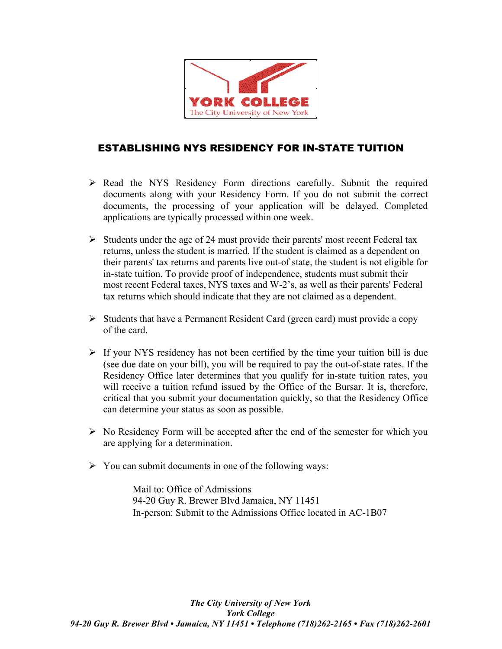

### ESTABLISHING NYS RESIDENCY FOR IN-STATE TUITION

- $\triangleright$  Read the NYS Residency Form directions carefully. Submit the required documents along with your Residency Form. If you do not submit the correct documents, the processing of your application will be delayed. Completed applications are typically processed within one week.
- $\triangleright$  Students under the age of 24 must provide their parents' most recent Federal tax returns, unless the student is married. If the student is claimed as a dependent on their parents' tax returns and parents live out-of state, the student is not eligible for in-state tuition. To provide proof of independence, students must submit their most recent Federal taxes, NYS taxes and W-2's, as well as their parents' Federal tax returns which should indicate that they are not claimed as a dependent.
- $\triangleright$  Students that have a Permanent Resident Card (green card) must provide a copy of the card.
- $\triangleright$  If your NYS residency has not been certified by the time your tuition bill is due (see due date on your bill), you will be required to pay the out-of-state rates. If the Residency Office later determines that you qualify for in-state tuition rates, you will receive a tuition refund issued by the Office of the Bursar. It is, therefore, critical that you submit your documentation quickly, so that the Residency Office can determine your status as soon as possible.
- $\triangleright$  No Residency Form will be accepted after the end of the semester for which you are applying for a determination.
- $\triangleright$  You can submit documents in one of the following ways:

 Mail to: Office of Admissions 94-20 Guy R. Brewer Blvd Jamaica, NY 11451 In-person: Submit to the Admissions Office located in AC-1B07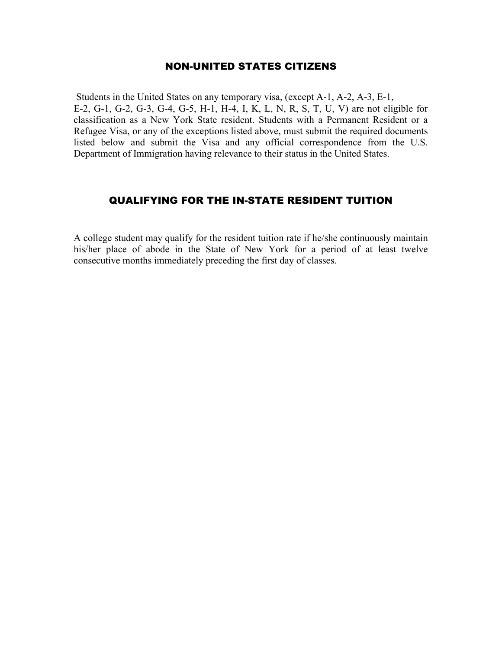#### NON-UNITED STATES CITIZENS

 Students in the United States on any temporary visa, (except A-1, A-2, A-3, E-1, E-2, G-1, G-2, G-3, G-4, G-5, H-1, H-4, I, K, L, N, R, S, T, U, V) are not eligible for classification as a New York State resident. Students with a Permanent Resident or a Refugee Visa, or any of the exceptions listed above, must submit the required documents listed below and submit the Visa and any official correspondence from the U.S. Department of Immigration having relevance to their status in the United States.

### QUALIFYING FOR THE IN-STATE RESIDENT TUITION

A college student may qualify for the resident tuition rate if he/she continuously maintain his/her place of abode in the State of New York for a period of at least twelve consecutive months immediately preceding the first day of classes.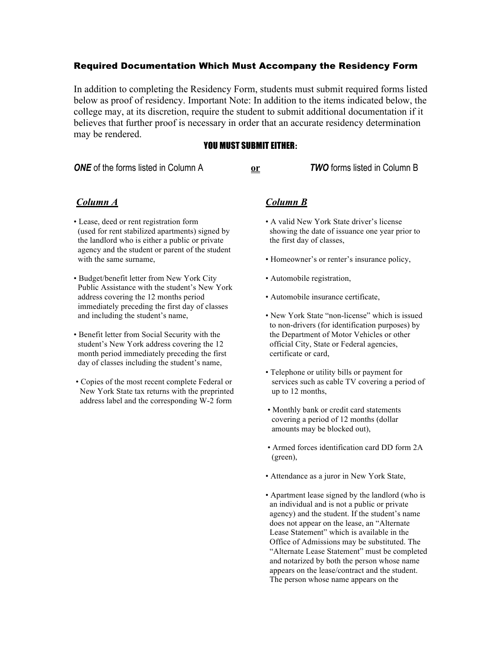#### Required Documentation Which Must Accompany the Residency Form

In addition to completing the Residency Form, students must submit required forms listed below as proof of residency. Important Note: In addition to the items indicated below, the college may, at its discretion, require the student to submit additional documentation if it believes that further proof is necessary in order that an accurate residency determination may be rendered.

#### YOU MUST SUBMIT EITHER**:**

*ONE* of the forms listed in Column A **or** *TWO* forms listed in Column B

#### *Column A*

- Lease, deed or rent registration form (used for rent stabilized apartments) signed by the landlord who is either a public or private agency and the student or parent of the student with the same surname,
- Budget/benefit letter from New York City Public Assistance with the student's New York address covering the 12 months period immediately preceding the first day of classes and including the student's name,
- Benefit letter from Social Security with the student's New York address covering the 12 month period immediately preceding the first day of classes including the student's name,
- Copies of the most recent complete Federal or New York State tax returns with the preprinted address label and the corresponding W-2 form

#### *Column B*

- A valid New York State driver's license showing the date of issuance one year prior to the first day of classes,
- Homeowner's or renter's insurance policy,
- Automobile registration,
- Automobile insurance certificate,
- New York State "non-license" which is issued to non-drivers (for identification purposes) by the Department of Motor Vehicles or other official City, State or Federal agencies, certificate or card,
- Telephone or utility bills or payment for services such as cable TV covering a period of up to 12 months,
- Monthly bank or credit card statements covering a period of 12 months (dollar amounts may be blocked out),
- Armed forces identification card DD form 2A (green),
- Attendance as a juror in New York State,
- Apartment lease signed by the landlord (who is an individual and is not a public or private agency) and the student. If the student's name does not appear on the lease, an "Alternate Lease Statement" which is available in the Office of Admissions may be substituted. The "Alternate Lease Statement" must be completed and notarized by both the person whose name appears on the lease/contract and the student. The person whose name appears on the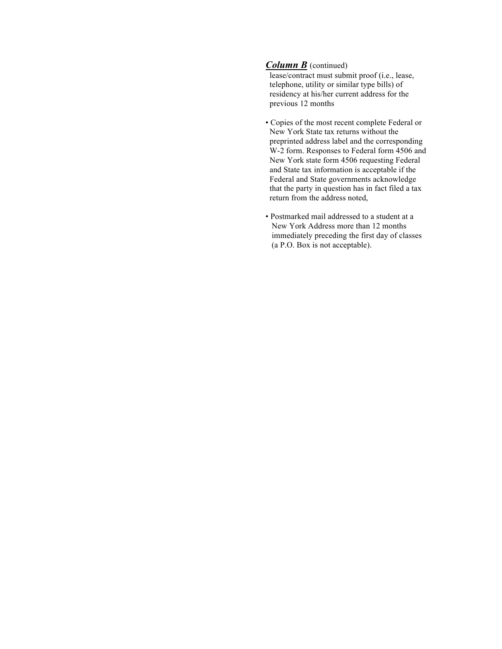#### *Column B* (continued)

 lease/contract must submit proof (i.e., lease, telephone, utility or similar type bills) of residency at his/her current address for the previous 12 months

- Copies of the most recent complete Federal or New York State tax returns without the preprinted address label and the corresponding W-2 form. Responses to Federal form 4506 and New York state form 4506 requesting Federal and State tax information is acceptable if the Federal and State governments acknowledge that the party in question has in fact filed a tax return from the address noted,
- Postmarked mail addressed to a student at a New York Address more than 12 months immediately preceding the first day of classes (a P.O. Box is not acceptable).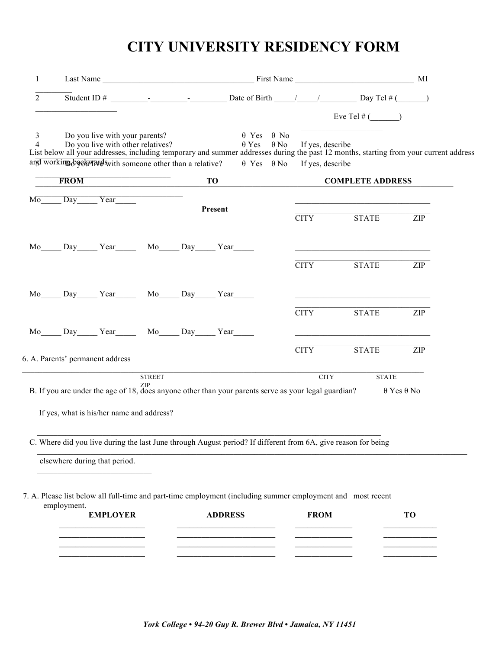# **CITY UNIVERSITY RESIDENCY FORM**

| 1              |             |                                                        |               |  |                |                                           |             |                                                                                                                                                                              |                          |
|----------------|-------------|--------------------------------------------------------|---------------|--|----------------|-------------------------------------------|-------------|------------------------------------------------------------------------------------------------------------------------------------------------------------------------------|--------------------------|
| $\mathfrak{D}$ |             |                                                        |               |  |                |                                           |             |                                                                                                                                                                              |                          |
|                |             |                                                        |               |  |                |                                           |             | Eve Tel $#$ ( )                                                                                                                                                              |                          |
| 3              |             | Do you live with your parents?                         |               |  |                | $\theta$ Yes $\theta$ No                  |             | 4 Do you live with other relatives?<br>List below all your addresses, including temporary and summer addresses during the past 12 months, starting from your current address |                          |
|                |             | and working become with someone other than a relative? |               |  |                | $\theta$ Yes $\theta$ No If yes, describe |             |                                                                                                                                                                              |                          |
|                |             | FROM <b>FROM</b>                                       |               |  | <b>TO</b>      |                                           |             | <b>COMPLETE ADDRESS</b>                                                                                                                                                      |                          |
|                |             | Mo Day Year                                            |               |  | Present        |                                           |             |                                                                                                                                                                              |                          |
|                |             |                                                        |               |  |                |                                           | <b>CITY</b> | STATE ZIP                                                                                                                                                                    |                          |
|                |             | Mo Day Year Mo Day Year                                |               |  |                |                                           |             | <u> 1989 - Johann Stein, marwolaethau a bhann an t-Amhair ann an t-Amhair an t-Amhair an t-Amhair an t-Amhair an</u>                                                         |                          |
|                |             |                                                        |               |  |                |                                           | <b>CITY</b> | STATE T                                                                                                                                                                      | <b>ZIP</b>               |
|                |             | Mo Day Year Mo Day Year                                |               |  |                |                                           |             | <u> 1989 - Johann Barn, fransk politik amerikansk politik (d. 1989)</u>                                                                                                      |                          |
|                |             |                                                        |               |  |                |                                           | <b>CITY</b> | <b>STATE</b>                                                                                                                                                                 | ZIP                      |
|                |             | Mo Day Year Mo Day Year                                |               |  |                |                                           |             |                                                                                                                                                                              |                          |
|                |             | 6. A. Parents' permanent address                       |               |  |                |                                           | <b>CITY</b> | <b>STATE</b>                                                                                                                                                                 | <b>ZIP</b>               |
|                |             |                                                        | <b>STREET</b> |  |                |                                           |             | <b>CITY</b><br><b>STATE</b>                                                                                                                                                  |                          |
|                |             |                                                        |               |  |                |                                           |             | B. If you are under the age of 18, does anyone other than your parents serve as your legal guardian?                                                                         | $\theta$ Yes $\theta$ No |
|                |             | If yes, what is his/her name and address?              |               |  |                |                                           |             |                                                                                                                                                                              |                          |
|                |             |                                                        |               |  |                |                                           |             | C. Where did you live during the last June through August period? If different from 6A, give reason for being                                                                |                          |
|                |             |                                                        |               |  |                |                                           |             |                                                                                                                                                                              |                          |
|                |             | elsewhere during that period.                          |               |  |                |                                           |             |                                                                                                                                                                              |                          |
|                |             |                                                        |               |  |                |                                           |             | 7. A. Please list below all full-time and part-time employment (including summer employment and most recent                                                                  |                          |
|                | employment. | <b>EMPLOYER</b>                                        |               |  | <b>ADDRESS</b> |                                           | <b>FROM</b> |                                                                                                                                                                              | <b>TO</b>                |
|                |             |                                                        |               |  |                |                                           |             |                                                                                                                                                                              |                          |
|                |             |                                                        |               |  |                |                                           |             |                                                                                                                                                                              |                          |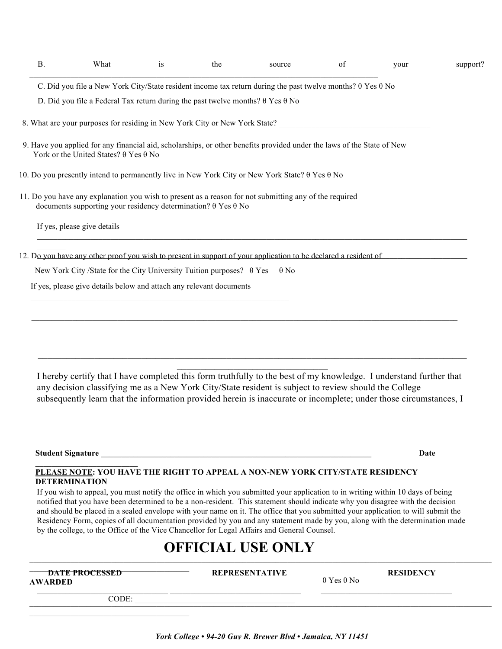| <b>B.</b> | What                                                                                                                                              | is | the | source                                                                                                                         | $\sigma$ f | vour | support? |
|-----------|---------------------------------------------------------------------------------------------------------------------------------------------------|----|-----|--------------------------------------------------------------------------------------------------------------------------------|------------|------|----------|
|           |                                                                                                                                                   |    |     | C. Did you file a New York City/State resident income tax return during the past twelve months? $\theta$ Yes $\theta$ No       |            |      |          |
|           | D. Did you file a Federal Tax return during the past twelve months? $\theta$ Yes $\theta$ No                                                      |    |     |                                                                                                                                |            |      |          |
|           | 8. What are your purposes for residing in New York City or New York State?                                                                        |    |     |                                                                                                                                |            |      |          |
|           | York or the United States? $\theta$ Yes $\theta$ No                                                                                               |    |     | 9. Have you applied for any financial aid, scholarships, or other benefits provided under the laws of the State of New         |            |      |          |
|           |                                                                                                                                                   |    |     | 10. Do you presently intend to permanently live in New York City or New York State? $\theta$ Yes $\theta$ No                   |            |      |          |
|           | documents supporting your residency determination? $\theta$ Yes $\theta$ No                                                                       |    |     | 11. Do you have any explanation you wish to present as a reason for not submitting any of the required                         |            |      |          |
|           | If yes, please give details                                                                                                                       |    |     |                                                                                                                                |            |      |          |
|           | New York City/State for the City University Tuition purposes? $\theta$ Yes<br>If yes, please give details below and attach any relevant documents |    |     | 12. Do you have any other proof you wish to present in support of your application to be declared a resident of<br>$\theta$ No |            |      |          |
|           |                                                                                                                                                   |    |     |                                                                                                                                |            |      |          |

I hereby certify that I have completed this form truthfully to the best of my knowledge. I understand further that any decision classifying me as a New York City/State resident is subject to review should the College subsequently learn that the information provided herein is inaccurate or incomplete; under those circumstances, I

 $\_$  $\overline{\phantom{a}}$  , where  $\overline{\phantom{a}}$  , where  $\overline{\phantom{a}}$  , where  $\overline{\phantom{a}}$  , where  $\overline{\phantom{a}}$ 

 $\_$  , and the state of the state of the state of the state of the state of the state of the state of the state of the state of the state of the state of the state of the state of the state of the state of the state of the

**Student Signature \_\_\_\_\_\_\_\_\_\_\_\_\_\_\_\_\_\_\_\_\_\_\_\_\_\_\_\_\_\_\_\_\_\_\_\_\_\_\_\_\_\_\_\_\_\_\_\_\_\_\_\_\_\_\_\_\_\_\_\_\_\_\_\_\_\_ Date** 

#### **\_\_\_\_\_\_\_\_\_\_\_\_\_\_\_\_\_\_\_\_\_\_\_\_\_ PLEASE NOTE: YOU HAVE THE RIGHT TO APPEAL A NON-NEW YORK CITY/STATE RESIDENCY DETERMINATION**

If you wish to appeal, you must notify the office in which you submitted your application to in writing within 10 days of being notified that you have been determined to be a non-resident. This statement should indicate why you disagree with the decision and should be placed in a sealed envelope with your name on it. The office that you submitted your application to will submit the Residency Form, copies of all documentation provided by you and any statement made by you, along with the determination made by the college, to the Office of the Vice Chancellor for Legal Affairs and General Counsel.

# **OFFICIAL USE ONLY**

| <b>DATE PROCESSED</b><br><b>AWARDED</b> | <b>REPRESENTATIVE</b> | $\theta$ Yes $\theta$ No | <b>RESIDENCY</b> |
|-----------------------------------------|-----------------------|--------------------------|------------------|
| CODE:                                   |                       |                          |                  |